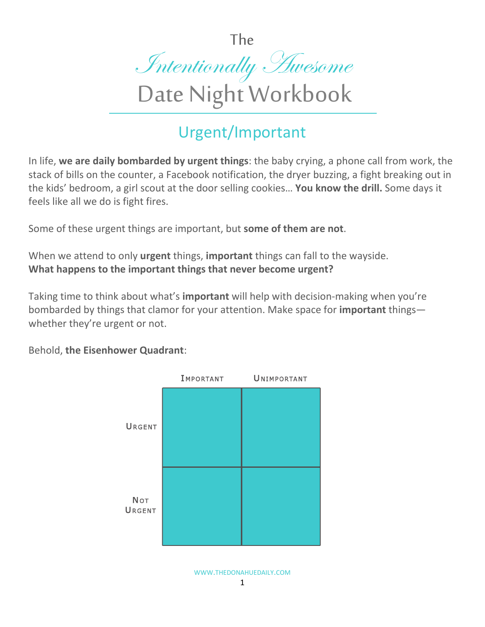The



## Urgent/Important

In life, **we are daily bombarded by urgent things**: the baby crying, a phone call from work, the stack of bills on the counter, a Facebook notification, the dryer buzzing, a fight breaking out in the kids' bedroom, a girl scout at the door selling cookies… **You know the drill.** Some days it feels like all we do is fight fires.

Some of these urgent things are important, but **some of them are not**.

When we attend to only **urgent** things, **important** things can fall to the wayside. **What happens to the important things that never become urgent?**

Taking time to think about what's **important** will help with decision-making when you're bombarded by things that clamor for your attention. Make space for **important** things whether they're urgent or not.

Behold, **the Eisenhower Quadrant**: